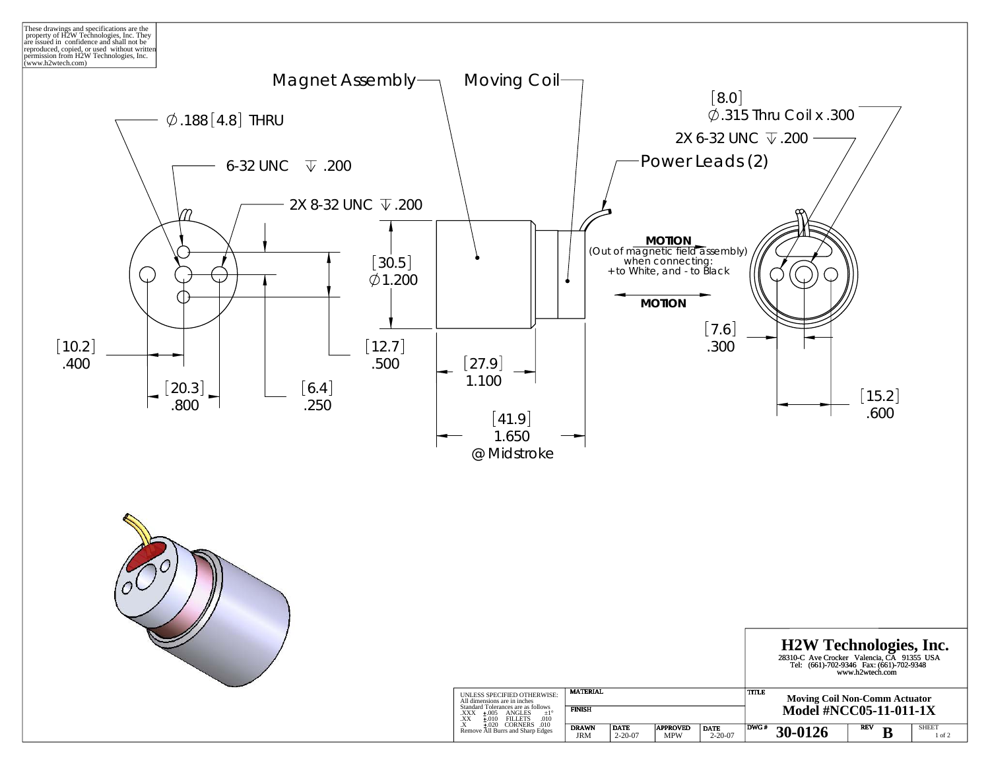